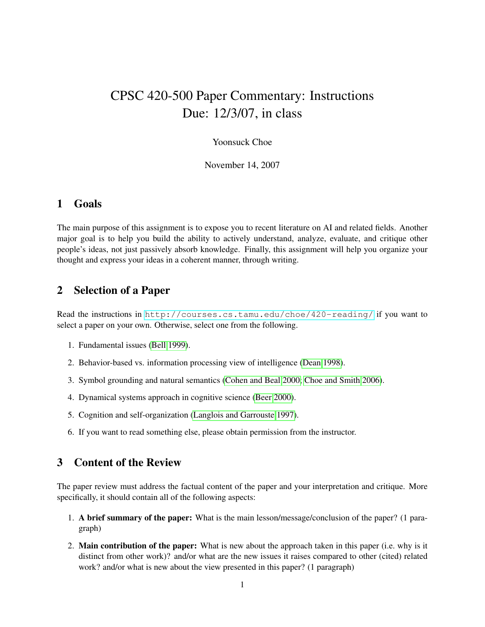# CPSC 420-500 Paper Commentary: Instructions Due: 12/3/07, in class

#### Yoonsuck Choe

November 14, 2007

#### 1 Goals

The main purpose of this assignment is to expose you to recent literature on AI and related fields. Another major goal is to help you build the ability to actively understand, analyze, evaluate, and critique other people's ideas, not just passively absorb knowledge. Finally, this assignment will help you organize your thought and express your ideas in a coherent manner, through writing.

## 2 Selection of a Paper

Read the instructions in <http://courses.cs.tamu.edu/choe/420-reading/> if you want to select a paper on your own. Otherwise, select one from the following.

- 1. Fundamental issues [\(Bell 1999\)](#page-2-0).
- 2. Behavior-based vs. information processing view of intelligence [\(Dean 1998\)](#page-2-1).
- 3. Symbol grounding and natural semantics [\(Cohen and Beal 2000;](#page-2-2) [Choe and Smith 2006\)](#page-2-3).
- 4. Dynamical systems approach in cognitive science [\(Beer 2000\)](#page-2-4).
- 5. Cognition and self-organization [\(Langlois and Garrouste 1997\)](#page-2-5).
- 6. If you want to read something else, please obtain permission from the instructor.

## 3 Content of the Review

The paper review must address the factual content of the paper and your interpretation and critique. More specifically, it should contain all of the following aspects:

- 1. A brief summary of the paper: What is the main lesson/message/conclusion of the paper? (1 paragraph)
- 2. Main contribution of the paper: What is new about the approach taken in this paper (i.e. why is it distinct from other work)? and/or what are the new issues it raises compared to other (cited) related work? and/or what is new about the view presented in this paper? (1 paragraph)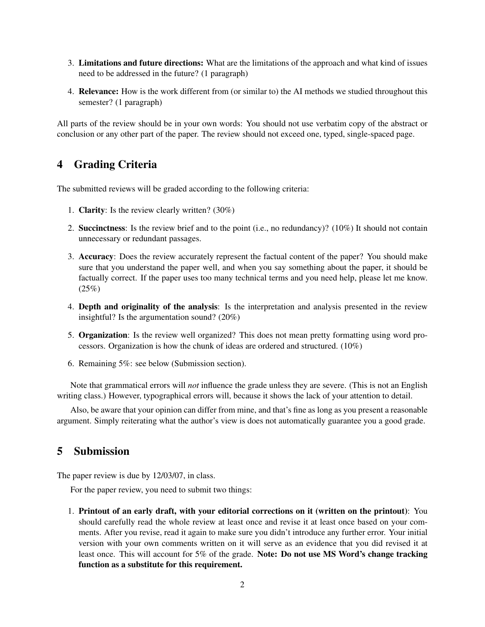- 3. Limitations and future directions: What are the limitations of the approach and what kind of issues need to be addressed in the future? (1 paragraph)
- 4. Relevance: How is the work different from (or similar to) the AI methods we studied throughout this semester? (1 paragraph)

All parts of the review should be in your own words: You should not use verbatim copy of the abstract or conclusion or any other part of the paper. The review should not exceed one, typed, single-spaced page.

# 4 Grading Criteria

The submitted reviews will be graded according to the following criteria:

- 1. Clarity: Is the review clearly written? (30%)
- 2. Succinctness: Is the review brief and to the point (i.e., no redundancy)? (10%) It should not contain unnecessary or redundant passages.
- 3. Accuracy: Does the review accurately represent the factual content of the paper? You should make sure that you understand the paper well, and when you say something about the paper, it should be factually correct. If the paper uses too many technical terms and you need help, please let me know.  $(25%)$
- 4. Depth and originality of the analysis: Is the interpretation and analysis presented in the review insightful? Is the argumentation sound? (20%)
- 5. Organization: Is the review well organized? This does not mean pretty formatting using word processors. Organization is how the chunk of ideas are ordered and structured. (10%)
- 6. Remaining 5%: see below (Submission section).

Note that grammatical errors will *not* influence the grade unless they are severe. (This is not an English writing class.) However, typographical errors will, because it shows the lack of your attention to detail.

Also, be aware that your opinion can differ from mine, and that's fine as long as you present a reasonable argument. Simply reiterating what the author's view is does not automatically guarantee you a good grade.

#### 5 Submission

The paper review is due by 12/03/07, in class.

For the paper review, you need to submit two things:

1. Printout of an early draft, with your editorial corrections on it (written on the printout): You should carefully read the whole review at least once and revise it at least once based on your comments. After you revise, read it again to make sure you didn't introduce any further error. Your initial version with your own comments written on it will serve as an evidence that you did revised it at least once. This will account for 5% of the grade. Note: Do not use MS Word's change tracking function as a substitute for this requirement.